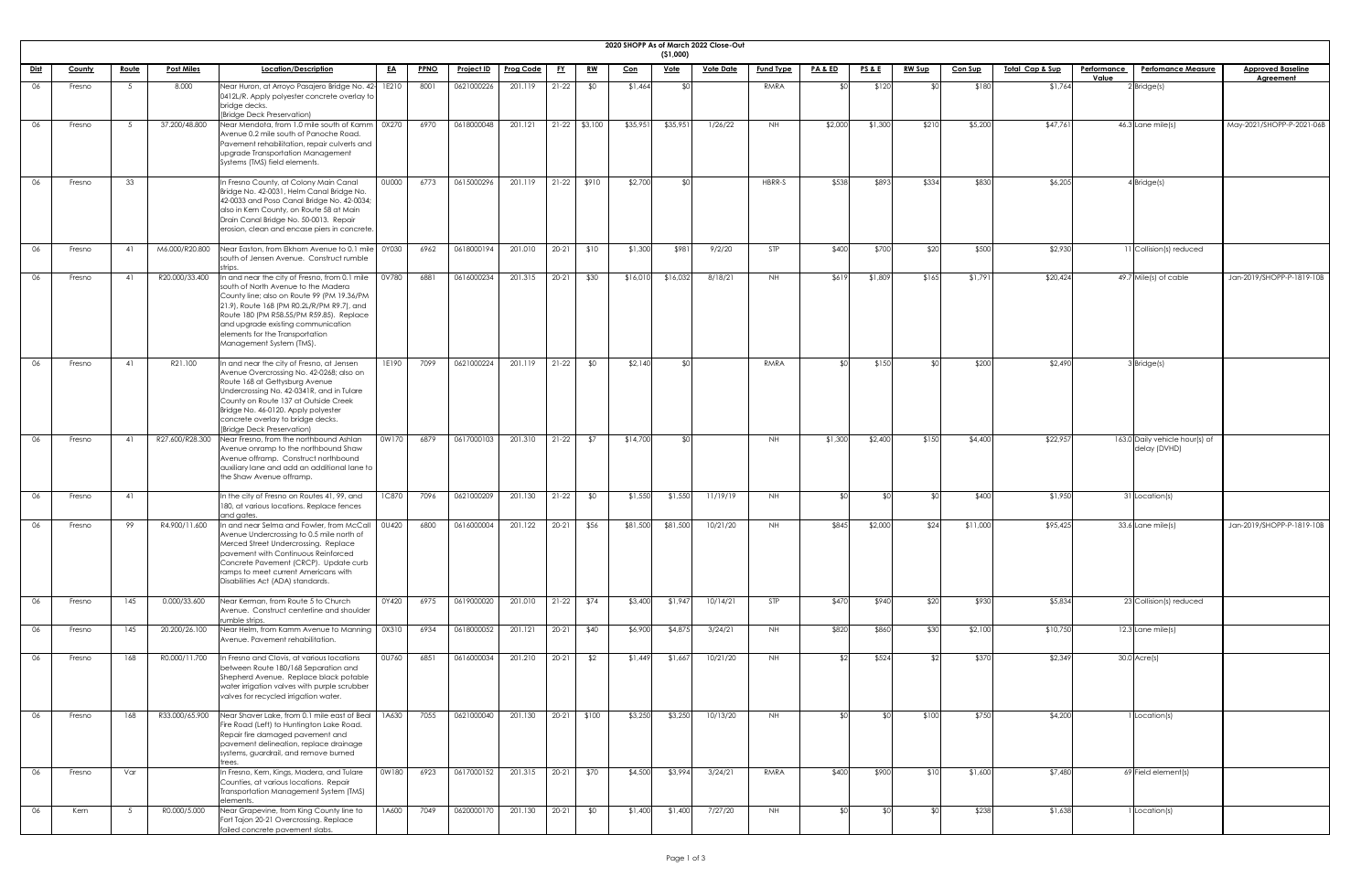|             |               |              |                   |                                                                                                                                                                                                                                                                                                                                   |              |             |                   |                  |           |                 |          |                         | 2020 SHOPP As of March 2022 Close-Out |                  |                    |                 |               |                |                            |             |                                                |                           |
|-------------|---------------|--------------|-------------------|-----------------------------------------------------------------------------------------------------------------------------------------------------------------------------------------------------------------------------------------------------------------------------------------------------------------------------------|--------------|-------------|-------------------|------------------|-----------|-----------------|----------|-------------------------|---------------------------------------|------------------|--------------------|-----------------|---------------|----------------|----------------------------|-------------|------------------------------------------------|---------------------------|
| <u>Dist</u> | <b>County</b> | <u>Route</u> | <b>Post Miles</b> | Location/Description                                                                                                                                                                                                                                                                                                              | <u>EA</u>    | <b>PPNO</b> | <u>Project ID</u> | <b>Prog Code</b> | <u>FY</u> | <u>RW</u>       | $Con$    | (51,000)<br><u>Vote</u> | <b>Vote Date</b>                      | <b>Fund Type</b> | <u>PA &amp; ED</u> | <u>PS&amp;E</u> | <b>RW Sup</b> | <b>Con Sup</b> | <u>Total Cap &amp; Sup</u> | Performance | <b>Perfomance Measure</b>                      | <b>Approved Baseline</b>  |
|             |               |              |                   |                                                                                                                                                                                                                                                                                                                                   |              |             |                   |                  |           |                 |          |                         |                                       |                  | ו∩\$               |                 |               |                |                            | Value       |                                                | <b>Agreement</b>          |
| 06          | Fresno        | 5            | 8.000             | Near Huron, at Arroyo Pasajero Bridge No. 42-11E210<br>0412L/R. Apply polyester concrete overlay to<br>bridge decks.<br>(Bridge Deck Preservation)                                                                                                                                                                                |              | 8001        | 0621000226        | 201.119          | $21-22$   | \$0             | \$1,464  |                         |                                       | RMRA             |                    | \$120           |               | \$180          | \$1,764                    |             | $2$ Bridge(s)                                  |                           |
| 06          | Fresno        | 5            | 37.200/48.800     | Near Mendota, from 1.0 mile south of Kamm   0X270<br>Avenue 0.2 mile south of Panoche Road.<br>Pavement rehabilitation, repair culverts and<br>upgrade Transportation Management<br>Systems (TMS) field elements.                                                                                                                 |              | 6970        | 0618000048        | 201.121          |           | $21-22$ \$3,100 | \$35,95  | \$35,95                 | 1/26/22                               | NH .             | \$2,000            | \$1,300         | \$210         | \$5,200        | \$47,761                   |             | $46.3$ Lane mile(s)                            | May-2021/SHOPP-P-2021-06B |
| 06          | Fresno        | 33           |                   | In Fresno County, at Colony Main Canal<br>Bridge No. 42-0031, Helm Canal Bridge No.<br>42-0033 and Poso Canal Bridge No. 42-0034;<br>also in Kern County, on Route 58 at Main<br>Drain Canal Bridge No. 50-0013. Repair<br>erosion, clean and encase piers in concrete.                                                           | <b>OU000</b> | 6773        | 0615000296        | 201.119          |           | $21-22$ \$910   | \$2,700  |                         |                                       | HBRR-S           | \$538              | \$893           | \$334         | \$830          | \$6,205                    |             | $4$ Bridge(s)                                  |                           |
| 06          | Fresno        | 41           | M6.000/R20.800    | Near Easton, from Elkhorn Avenue to 0.1 mile 0Y030<br>south of Jensen Avenue. Construct rumble                                                                                                                                                                                                                                    |              | 6962        | 0618000194        | 201.010          | $20-21$   | \$10            | \$1,300  | \$981                   | 9/2/20                                | STP              | \$400              | \$700           | \$20          | \$500          | \$2,930                    |             | 11 Collision(s) reduced                        |                           |
| 06          | Fresno        | 41           | R20.000/33.400    | In and near the city of Fresno, from 0.1 mile<br>south of North Avenue to the Madera<br>County line; also on Route 99 (PM 19.36/PM<br>21.9), Route 168 (PM R0.2L/R/PM R9.7), and<br>Route 180 (PM R58.55/PM R59.85). Replace<br>and upgrade existing communication<br>elements for the Transportation<br>Management System (TMS). | 0V780        | 6881        | 0616000234        | 201.315          | $20 - 21$ | \$30            | \$16,010 | \$16,032                | 8/18/21                               | NH .             | \$619              | \$1,809         | \$165         | \$1,791        | \$20,424                   |             | 49.7 Mile(s) of cable                          | Jan-2019/SHOPP-P-1819-10B |
|             | Fresno        | -41          | R21.100           | In and near the city of Fresno, at Jensen<br>Avenue Overcrossing No. 42-0268; also on<br>Route 168 at Gettysburg Avenue<br>Undercrossing No. 42-0341R, and in Tulare<br>County on Route 137 at Outside Creek<br>Bridge No. 46-0120. Apply polyester<br>concrete overlay to bridge decks.<br>(Bridge Deck Preservation)            | 1E190        | 7099        | 0621000224        | 201.119          | $21-22$   | \$0             | \$2,140  |                         |                                       | <b>RMRA</b>      |                    | \$150           |               | \$20C          | \$2,490                    |             | 3Bridge(s)                                     |                           |
| 06          | Fresno        | 41           | R27.600/R28.300   | Near Fresno, from the northbound Ashlan<br>Avenue onramp to the northbound Shaw<br>Avenue offramp. Construct northbound<br>auxiliary lane and add an additional lane to<br>the Shaw Avenue offramp.                                                                                                                               | 0W170        | 6879        | 0617000103        | 201.310          | $21-22$   | \$7             | \$14,700 |                         |                                       | NH .             | \$1,300            | \$2,400         | \$150         | \$4,400        | \$22,957                   |             | 163.0 Daily vehicle hour(s) of<br>delay (DVHD) |                           |
| 06          | Fresno        | 41           |                   | In the city of Fresno on Routes 41, 99, and<br>180, at various locations. Replace fences<br>and gates.                                                                                                                                                                                                                            | <b>1C870</b> | 7096        | 0621000209        | 201.130          | $21-22$   | \$0             | \$1,55C  | \$1,550                 | 11/19/19                              | NH .             | ו∩⊅                |                 |               | \$400          | \$1,950                    |             | 31 Location(s)                                 |                           |
| 06          | Fresno        | 99           | R4.900/11.600     | In and near Selma and Fowler, from McCall<br>Avenue Undercrossing to 0.5 mile north of<br>Merced Street Undercrossing. Replace<br>pavement with Continuous Reinforced<br>Concrete Pavement (CRCP). Update curb<br>ramps to meet current Americans with<br>Disabilities Act (ADA) standards.                                       | 0U420        | 6800        | 0616000004        | 201.122          | $20 - 21$ | \$56            | \$81,500 | \$81,500                | 10/21/20                              | NH .             | \$845              | \$2,000         | \$24          | \$11,000       | \$95,425                   |             | 33.6 Lane mile(s)                              | Jan-2019/SHOPP-P-1819-10B |
| 06          | Fresno        | 145          | 0.000/33.600      | Near Kerman, from Route 5 to Church<br>Avenue. Construct centerline and shoulder<br>rumble strips.                                                                                                                                                                                                                                | 0Y420        | 6975        | 0619000020        | 201.010          | $21-22$   | \$74            | \$3,400  | \$1,947                 | 10/14/21                              | STP              | \$470              | \$940           | \$20          | \$930          | \$5,834                    |             | 23 Collision(s) reduced                        |                           |
| 06          | Fresno        | 145          | 20.200/26.100     | Near Helm, from Kamm Avenue to Manning  <br>Avenue. Pavement rehabilitation.                                                                                                                                                                                                                                                      | 0X310        | 6934        | 0618000052        | 201.121          | 20-21     | \$40            | \$6,900  | \$4,87                  | 3/24/21                               | NH .             | \$820              | \$860           | \$30          | \$2,100        | \$10,750                   |             | $12.3$ Lane mile(s)                            |                           |
| 06          | Fresno        | 168          | R0.000/11.700     | In Fresno and Clovis, at various locations<br>between Route 180/168 Separation and<br>Shepherd Avenue. Replace black potable<br>water irrigation valves with purple scrubber<br>valves for recycled irrigation water.                                                                                                             | 0U760        | 6851        | 0616000034        | 201.210          | $20-21$   | \$2             | \$1,449  | \$1,66                  | 10/21/20                              | NH .             | -\$21              | \$524           |               | \$370          | \$2,349                    |             | $30.0$ Acre(s)                                 |                           |
| 06          | Fresno        | 168          | R33.000/65.900    | Near Shaver Lake, from 0.1 mile east of Beal<br>Fire Road (Left) to Huntington Lake Road.<br>Repair fire damaged pavement and<br>pavement delineation, replace drainage<br>systems, guardrail, and remove burned                                                                                                                  | 1A630        | 7055        | 0621000040        | 201.130          |           | $20-21$ \$100   | \$3,250  | \$3,250                 | 10/13/20                              | <b>NH</b>        | י∩\$               |                 | \$100         | \$750          | \$4,200                    |             | I Location(s)                                  |                           |
| 06          | Fresno        | Var          |                   | In Fresno, Kern, Kings, Madera, and Tulare<br>Counties, at various locations. Repair<br>Transportation Management System (TMS)<br>elements                                                                                                                                                                                        | 0W180        | 6923        | 0617000152        | 201.315          | $20-21$   | \$70            | \$4,500  | \$3,994                 | 3/24/21                               | RMRA             | \$400              | \$900           | \$10          | \$1,600        | \$7,480                    |             | $69$ Field element(s)                          |                           |
| 06          | Kern          | - 5          | R0.000/5.000      | Near Grapevine, from King County line to<br>Fort Tajon 20-21 Overcrossing. Replace<br>failed concrete pavement slabs.                                                                                                                                                                                                             | 1A600        | 7049        | 0620000170        | 201.130          | $20-21$   | \$0             | \$1,400  | \$1,400                 | 7/27/20                               | <b>NH</b>        | ו∩≯                |                 |               | \$238          | \$1,638                    |             | 1 Location(s)                                  |                           |

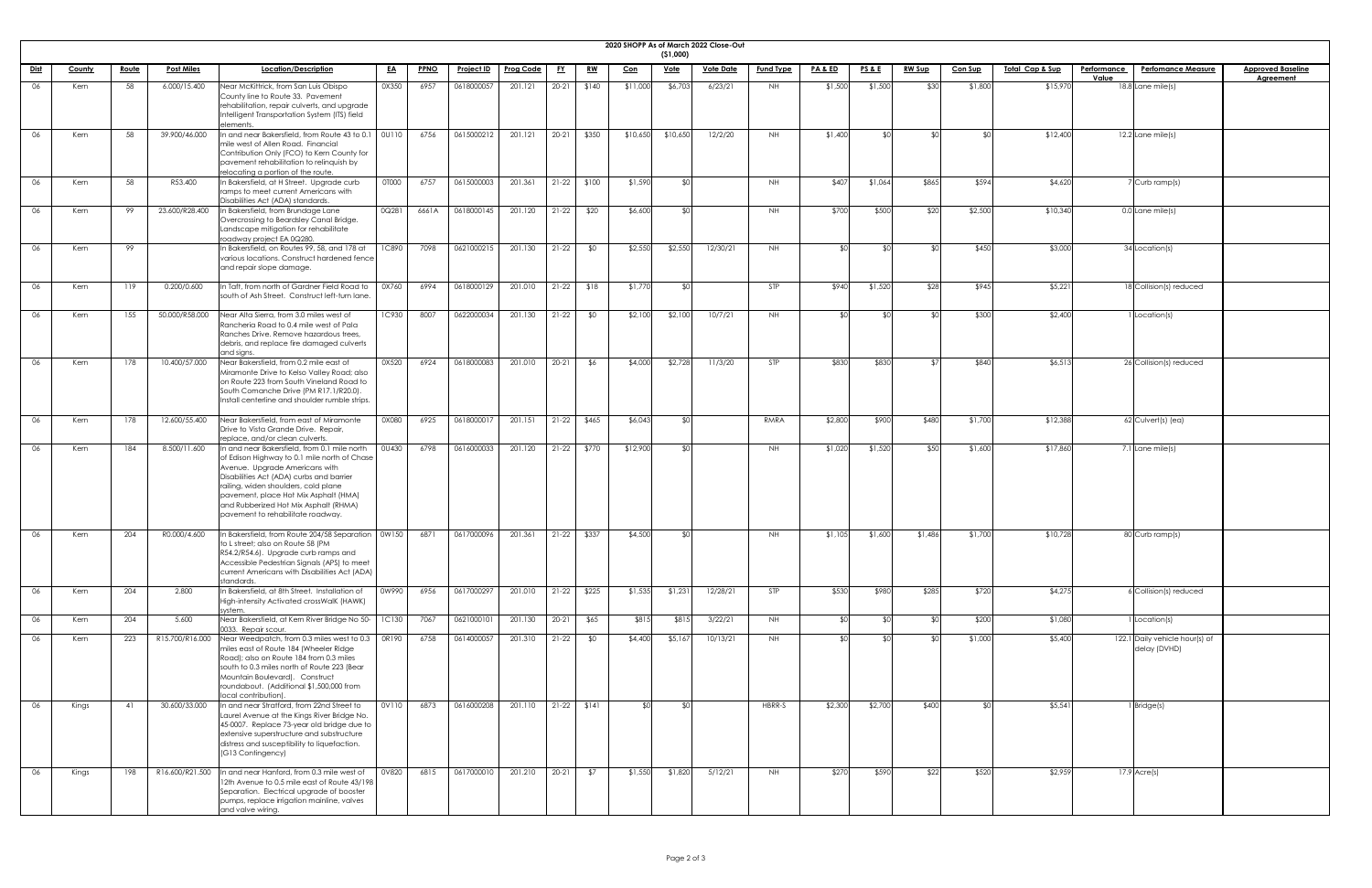| <b>2020 SHOPI</b> |  |
|-------------------|--|

|             |        |              |                   |                                                                                                                                                                                                                                                                                                                                           |              |             |                   |                  |           |                |            |             | 2020 SHOPP As of March 2022 Close-Out |                  |         |                 |               |                |                            |                             |                                                |                                              |
|-------------|--------|--------------|-------------------|-------------------------------------------------------------------------------------------------------------------------------------------------------------------------------------------------------------------------------------------------------------------------------------------------------------------------------------------|--------------|-------------|-------------------|------------------|-----------|----------------|------------|-------------|---------------------------------------|------------------|---------|-----------------|---------------|----------------|----------------------------|-----------------------------|------------------------------------------------|----------------------------------------------|
|             |        |              |                   |                                                                                                                                                                                                                                                                                                                                           |              |             |                   |                  |           |                |            | (51,000)    |                                       |                  |         |                 |               |                |                            |                             |                                                |                                              |
| <u>Dist</u> | County | <u>Route</u> | <b>Post Miles</b> | Location/Description                                                                                                                                                                                                                                                                                                                      | <u>EA</u>    | <b>PPNO</b> | <b>Project ID</b> | <u>Prog Code</u> | <u>FY</u> | <u>RW</u>      | <u>Con</u> | <u>Vote</u> | <b>Vote Date</b>                      | <b>Fund Type</b> | PA&ED   | <u>PS&amp;E</u> | <u>RW Sup</u> | <b>Con Sup</b> | <u>Total Cap &amp; Sup</u> | <b>Performance</b><br>Value | <b>Perfomance Measure</b>                      | <b>Approved Baseline</b><br><b>Agreement</b> |
| 06          | Kern   | 58           | 6.000/15.400      | Near McKittrick, from San Luis Obispo<br>County line to Route 33. Pavement<br>rehabilitation, repair culverts, and upgrade<br>Intelligent Transportation System (ITS) field<br>elements                                                                                                                                                   | 0X350        | 6957        | 0618000057        | 201.121          | $20 - 21$ | \$140          | \$11,000   | \$6,703     | 6/23/21                               | <b>NH</b>        | \$1,500 | \$1,500         | \$30          | \$1,800        | \$15,970                   |                             | $18.8$ Lane mile(s)                            |                                              |
| 06          | Kern   | 58           | 39.900/46.000     | In and near Bakersfield, from Route 43 to 0.1   0U110<br>mile west of Allen Road. Financial<br>Contribution Only (FCO) to Kern County for<br>pavement rehabilitation to relinquish by<br>relocating a portion of the route.                                                                                                               |              | 6756        | 0615000212        | 201.121          | $20 - 21$ | \$350          | \$10,650   | \$10,650    | 12/2/20                               | NH .             | \$1,400 |                 |               |                | \$12,400                   |                             | $12.2$ Lane mile(s)                            |                                              |
| 06          | Kern   | 58           | R53.400           | In Bakersfield, at H Street. Upgrade curb<br>ramps to meet current Americans with<br>Disabilities Act (ADA) standards.                                                                                                                                                                                                                    | <b>OTOOO</b> | 6757        | 0615000003        | 201.361          |           | $21-22$ \$100  | \$1,590    |             |                                       | <b>NH</b>        | \$407   | \$1,064         | \$865         | \$594          | \$4,620                    |                             | Curb ramp(s)                                   |                                              |
| 06          | Kern   | 99           | 23.600/R28.400    | In Bakersfield, from Brundage Lane<br>Overcrossing to Beardsley Canal Bridge.<br>Landscape mitigation for rehabilitate<br>roadway project EA 0Q280.                                                                                                                                                                                       | 0Q281        | 6661A       | 0618000145        | 201.120          | $21-22$   | \$20           | \$6,600    |             |                                       | NH               | \$700   | \$500           | \$20          | \$2,500        | \$10,340                   |                             | $0.0$ Lane mile(s)                             |                                              |
| 06          | Kern   | 99           |                   | In Bakersfield, on Routes 99, 58, and 178 at<br>various locations. Construct hardened fence<br>and repair slope damage.                                                                                                                                                                                                                   | <b>1C890</b> | 7098        | 0621000215        | 201.130          | $21-22$   | \$0            | \$2,550    | \$2,550     | 12/30/21                              | <b>NH</b>        |         |                 |               | \$450          | \$3,000                    |                             | 34 Location(s)                                 |                                              |
| 06          | Kern   | 119          | 0.200/0.600       | In Taft, from north of Gardner Field Road to<br>south of Ash Street. Construct left-turn lane.                                                                                                                                                                                                                                            | 0X760        | 6994        | 0618000129        | 201.010          | $21-22$   | \$18           | \$1,770    |             |                                       | <b>STP</b>       | \$940   | \$1,520         | \$28          | \$945          | \$5,221                    |                             | 18 Collision(s) reduced                        |                                              |
| 06          | Kern   | 155          | 50.000/R58.000    | Near Alta Sierra, from 3.0 miles west of<br>Rancheria Road to 0.4 mile west of Pala<br>Ranches Drive. Remove hazardous trees,<br>debris, and replace fire damaged culverts<br>and signs.                                                                                                                                                  | <b>1C930</b> | 8007        | 0622000034        | 201.130          | $21-22$   | \$0            | \$2,100    | \$2,100     | 10/7/21                               | <b>NH</b>        |         |                 |               | \$300          | \$2,400                    |                             | Location(s)                                    |                                              |
|             | Kern   | 178          | 10.400/57.000     | Near Bakersfield, from 0.2 mile east of<br>Miramonte Drive to Kelso Valley Road; also<br>on Route 223 from South Vineland Road to<br>South Comanche Drive (PM R17.1/R20.0).<br>Install centerline and shoulder rumble strips.                                                                                                             | 0X520        | 6924        |                   |                  |           |                | \$4,000    | \$2,728     | 11/3/20                               | STP              | \$830   | \$830           |               | \$840          | \$6,513                    |                             | 26 Collision(s) reduced                        |                                              |
| 06          | Kern   | 178          | 12.600/55.400     | Near Bakersfield, from east of Miramonte<br>Drive to Vista Grande Drive. Repair,<br>replace, and/or clean culverts.                                                                                                                                                                                                                       | 0X080        | 6925        | 0618000017        | 201.151          | $21-22$   | \$465          | \$6,043    |             |                                       | RMRA             | \$2,800 | \$900           | \$480         | \$1,700        | \$12,388                   |                             | $62$ Culvert(s) (ea)                           |                                              |
| 06          | Kern   | 184          | 8.500/11.600      | In and near Bakersfield, from 0.1 mile north<br>of Edison Highway to 0.1 mile north of Chase<br>Avenue. Upgrade Americans with<br>Disabilities Act (ADA) curbs and barrier<br>railing, widen shoulders, cold plane<br>pavement, place Hot Mix Asphalt (HMA)<br>and Rubberized Hot Mix Asphalt (RHMA)<br>pavement to rehabilitate roadway. | <b>0U430</b> | 6798        | 0616000033        | 201.120          |           | $21-22$ \$770  | \$12,900   |             |                                       | NH               | \$1,020 | \$1,520         | \$50          | \$1,600        | \$17,860                   |                             | 7.1 Lane mile(s)                               |                                              |
| 06          | Kern   | 204          | R0.000/4.600      | In Bakersfield, from Route 204/58 Separation   0W150<br>to L street; also on Route 58 (PM<br>R54.2/R54.6). Upgrade curb ramps and<br>Accessible Pedestrian Signals (APS) to meet<br>current Americans with Disabilities Act (ADA)<br>standards.                                                                                           |              | 6871        | 0617000096        | 201.361          | $21-22$   | \$337          | \$4,500    |             |                                       | NH               | \$1,105 | \$1,600         | \$1,486       | \$1,700        | \$10,728                   |                             | 80 Curb ramp(s)                                |                                              |
| 06          | Kern   | 204          | 2.800             | In Bakersfield, at 8th Street. Installation of<br>High-intensity Activated crossWalK (HAWK)<br>system.                                                                                                                                                                                                                                    | 0W990        | 6956        | 0617000297        | 201.010          |           | $21-22$ \$225  | \$1,535    | \$1,231     | 12/28/21                              | STP              | \$530   | \$980           | \$285         | \$720          | \$4,275                    |                             | SCollision(s) reduced                          |                                              |
| 06          | Kern   | 204          | 5.600             | Near Bakersfield, at Kern River Bridge No 50-<br>0033. Repair scour.                                                                                                                                                                                                                                                                      | 1C130        | 7067        | 0621000101        | 201.130          | $20 - 21$ | \$65           | \$815      | \$815       | 3/22/21                               | NH               |         |                 |               | \$200          | \$1,080                    |                             | Location(s)                                    |                                              |
| 06          | Kern   | 223          | R15.700/R16.000   | Near Weedpatch, from 0.3 miles west to 0.3   0R190<br>miles east of Route 184 (Wheeler Ridge<br>Road); also on Route 184 from 0.3 miles<br>south to 0.3 miles north of Route 223 (Bear<br>Mountain Boulevard). Construct<br>roundabout. (Additional \$1,500,000 from<br>local contribution).                                              |              | 6758        | 0614000057        | 201.310          | $21-22$   | \$0            | \$4,400    | \$5,167     | 10/13/21                              | <b>NH</b>        | ያበ      | ¢٢              | ¢Λ            | \$1,000        | \$5,400                    |                             | 122.1 Daily vehicle hour(s) of<br>delay (DVHD) |                                              |
| 06          | Kings  | 41           | 30.600/33.000     | In and near Stratford, from 22nd Street to<br>Laurel Avenue at the Kings River Bridge No.<br>45-0007. Replace 73-year old bridge due to<br>extensive superstructure and substructure<br>distress and susceptibility to liquefaction.<br>(G13 Contingency)                                                                                 | 0V110        | 6873        | 0616000208        | 201.110          |           | $21-22$ $$141$ | -\$∩I      |             |                                       | HBRR-S           | \$2,300 | \$2,700         | \$400         |                | \$5,541                    |                             | Bridge(s)                                      |                                              |
| 06          | Kings  | 198          | R16.600/R21.500   | In and near Hanford, from 0.3 mile west of<br>12th Avenue to 0.5 mile east of Route 43/198<br>Separation. Electrical upgrade of booster<br>pumps, replace irrigation mainline, valves<br>and valve wiring.                                                                                                                                | 0V820        | 6815        | 0617000010        | 201.210          | $20-21$   | \$7            | \$1,550    | \$1,820     | 5/12/21                               | <b>NH</b>        | \$270   | \$590           | \$22          | \$520          | \$2,959                    |                             | $17.9$ Acre(s)                                 |                                              |

| <u>Baseline</u><br>men <u>t</u> |  |
|---------------------------------|--|
|                                 |  |
|                                 |  |
|                                 |  |
|                                 |  |
|                                 |  |
|                                 |  |
|                                 |  |
|                                 |  |
|                                 |  |
|                                 |  |
|                                 |  |
|                                 |  |
|                                 |  |
|                                 |  |
|                                 |  |
|                                 |  |
|                                 |  |
|                                 |  |
|                                 |  |
|                                 |  |
|                                 |  |
|                                 |  |
|                                 |  |
|                                 |  |
|                                 |  |
|                                 |  |
|                                 |  |
|                                 |  |
|                                 |  |
|                                 |  |
|                                 |  |
|                                 |  |
|                                 |  |
|                                 |  |